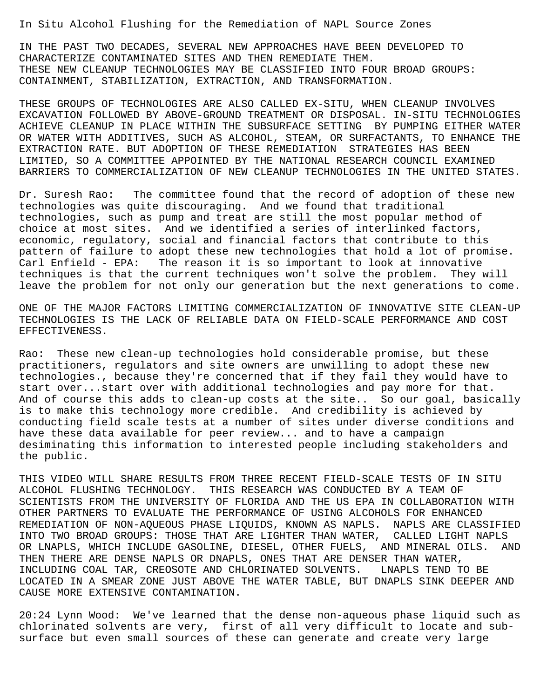In Situ Alcohol Flushing for the Remediation of NAPL Source Zones

IN THE PAST TWO DECADES, SEVERAL NEW APPROACHES HAVE BEEN DEVELOPED TO CHARACTERIZE CONTAMINATED SITES AND THEN REMEDIATE THEM. THESE NEW CLEANUP TECHNOLOGIES MAY BE CLASSIFIED INTO FOUR BROAD GROUPS: CONTAINMENT, STABILIZATION, EXTRACTION, AND TRANSFORMATION.

THESE GROUPS OF TECHNOLOGIES ARE ALSO CALLED EX-SITU, WHEN CLEANUP INVOLVES EXCAVATION FOLLOWED BY ABOVE-GROUND TREATMENT OR DISPOSAL. IN-SITU TECHNOLOGIES ACHIEVE CLEANUP IN PLACE WITHIN THE SUBSURFACE SETTING BY PUMPING EITHER WATER OR WATER WITH ADDITIVES, SUCH AS ALCOHOL, STEAM, OR SURFACTANTS, TO ENHANCE THE EXTRACTION RATE. BUT ADOPTION OF THESE REMEDIATION STRATEGIES HAS BEEN LIMITED, SO A COMMITTEE APPOINTED BY THE NATIONAL RESEARCH COUNCIL EXAMINED BARRIERS TO COMMERCIALIZATION OF NEW CLEANUP TECHNOLOGIES IN THE UNITED STATES.

Dr. Suresh Rao: The committee found that the record of adoption of these new technologies was quite discouraging. And we found that traditional technologies, such as pump and treat are still the most popular method of choice at most sites. And we identified a series of interlinked factors, economic, regulatory, social and financial factors that contribute to this pattern of failure to adopt these new technologies that hold a lot of promise. Carl Enfield - EPA: The reason it is so important to look at innovative techniques is that the current techniques won't solve the problem. They will leave the problem for not only our generation but the next generations to come.

ONE OF THE MAJOR FACTORS LIMITING COMMERCIALIZATION OF INNOVATIVE SITE CLEAN-UP TECHNOLOGIES IS THE LACK OF RELIABLE DATA ON FIELD-SCALE PERFORMANCE AND COST EFFECTIVENESS.

Rao: These new clean-up technologies hold considerable promise, but these practitioners, regulators and site owners are unwilling to adopt these new technologies., because they're concerned that if they fail they would have to start over...start over with additional technologies and pay more for that. And of course this adds to clean-up costs at the site.. So our goal, basically is to make this technology more credible. And credibility is achieved by conducting field scale tests at a number of sites under diverse conditions and have these data available for peer review... and to have a campaign desiminating this information to interested people including stakeholders and the public.

THIS VIDEO WILL SHARE RESULTS FROM THREE RECENT FIELD-SCALE TESTS OF IN SITU ALCOHOL FLUSHING TECHNOLOGY. THIS RESEARCH WAS CONDUCTED BY A TEAM OF SCIENTISTS FROM THE UNIVERSITY OF FLORIDA AND THE US EPA IN COLLABORATION WITH OTHER PARTNERS TO EVALUATE THE PERFORMANCE OF USING ALCOHOLS FOR ENHANCED REMEDIATION OF NON-AQUEOUS PHASE LIQUIDS, KNOWN AS NAPLS. NAPLS ARE CLASSIFIED INTO TWO BROAD GROUPS: THOSE THAT ARE LIGHTER THAN WATER, CALLED LIGHT NAPLS OR LNAPLS, WHICH INCLUDE GASOLINE, DIESEL, OTHER FUELS, AND MINERAL OILS. AND THEN THERE ARE DENSE NAPLS OR DNAPLS, ONES THAT ARE DENSER THAN WATER, INCLUDING COAL TAR, CREOSOTE AND CHLORINATED SOLVENTS. LNAPLS TEND TO BE LOCATED IN A SMEAR ZONE JUST ABOVE THE WATER TABLE, BUT DNAPLS SINK DEEPER AND CAUSE MORE EXTENSIVE CONTAMINATION.

20:24 Lynn Wood: We've learned that the dense non-aqueous phase liquid such as chlorinated solvents are very, first of all very difficult to locate and subsurface but even small sources of these can generate and create very large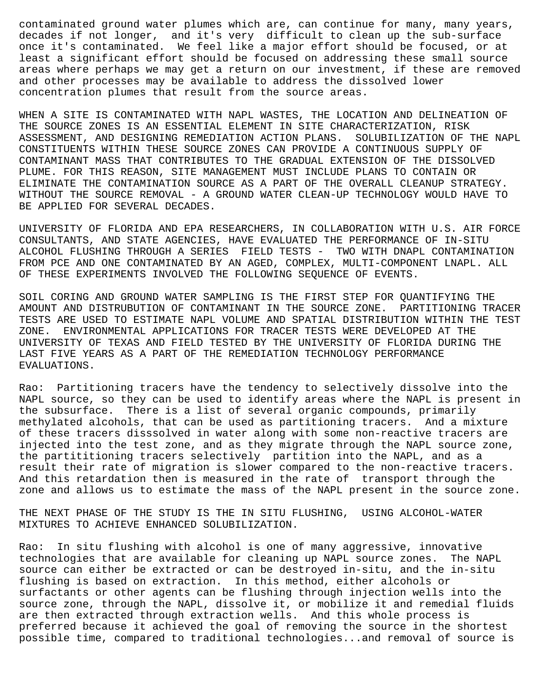contaminated ground water plumes which are, can continue for many, many years, decades if not longer, and it's very difficult to clean up the sub-surface once it's contaminated. We feel like a major effort should be focused, or at least a significant effort should be focused on addressing these small source areas where perhaps we may get a return on our investment, if these are removed and other processes may be available to address the dissolved lower concentration plumes that result from the source areas.

WHEN A SITE IS CONTAMINATED WITH NAPL WASTES, THE LOCATION AND DELINEATION OF THE SOURCE ZONES IS AN ESSENTIAL ELEMENT IN SITE CHARACTERIZATION, RISK ASSESSMENT, AND DESIGNING REMEDIATION ACTION PLANS. SOLUBILIZATION OF THE NAPL CONSTITUENTS WITHIN THESE SOURCE ZONES CAN PROVIDE A CONTINUOUS SUPPLY OF CONTAMINANT MASS THAT CONTRIBUTES TO THE GRADUAL EXTENSION OF THE DISSOLVED PLUME. FOR THIS REASON, SITE MANAGEMENT MUST INCLUDE PLANS TO CONTAIN OR ELIMINATE THE CONTAMINATION SOURCE AS A PART OF THE OVERALL CLEANUP STRATEGY. WITHOUT THE SOURCE REMOVAL - A GROUND WATER CLEAN-UP TECHNOLOGY WOULD HAVE TO BE APPLIED FOR SEVERAL DECADES.

UNIVERSITY OF FLORIDA AND EPA RESEARCHERS, IN COLLABORATION WITH U.S. AIR FORCE CONSULTANTS, AND STATE AGENCIES, HAVE EVALUATED THE PERFORMANCE OF IN-SITU ALCOHOL FLUSHING THROUGH A SERIES FIELD TESTS - TWO WITH DNAPL CONTAMINATION FROM PCE AND ONE CONTAMINATED BY AN AGED, COMPLEX, MULTI-COMPONENT LNAPL. ALL OF THESE EXPERIMENTS INVOLVED THE FOLLOWING SEQUENCE OF EVENTS.

SOIL CORING AND GROUND WATER SAMPLING IS THE FIRST STEP FOR QUANTIFYING THE AMOUNT AND DISTRUBUTION OF CONTAMINANT IN THE SOURCE ZONE. PARTITIONING TRACER TESTS ARE USED TO ESTIMATE NAPL VOLUME AND SPATIAL DISTRIBUTION WITHIN THE TEST ZONE. ENVIRONMENTAL APPLICATIONS FOR TRACER TESTS WERE DEVELOPED AT THE UNIVERSITY OF TEXAS AND FIELD TESTED BY THE UNIVERSITY OF FLORIDA DURING THE LAST FIVE YEARS AS A PART OF THE REMEDIATION TECHNOLOGY PERFORMANCE EVALUATIONS.

Rao: Partitioning tracers have the tendency to selectively dissolve into the NAPL source, so they can be used to identify areas where the NAPL is present in the subsurface. There is a list of several organic compounds, primarily methylated alcohols, that can be used as partitioning tracers. And a mixture of these tracers disssolved in water along with some non-reactive tracers are injected into the test zone, and as they migrate through the NAPL source zone, the partititioning tracers selectively partition into the NAPL, and as a result their rate of migration is slower compared to the non-reactive tracers. And this retardation then is measured in the rate of transport through the zone and allows us to estimate the mass of the NAPL present in the source zone.

THE NEXT PHASE OF THE STUDY IS THE IN SITU FLUSHING, USING ALCOHOL-WATER MIXTURES TO ACHIEVE ENHANCED SOLUBILIZATION.

Rao: In situ flushing with alcohol is one of many aggressive, innovative technologies that are available for cleaning up NAPL source zones. The NAPL source can either be extracted or can be destroyed in-situ, and the in-situ flushing is based on extraction. In this method, either alcohols or surfactants or other agents can be flushing through injection wells into the source zone, through the NAPL, dissolve it, or mobilize it and remedial fluids are then extracted through extraction wells. And this whole process is preferred because it achieved the goal of removing the source in the shortest possible time, compared to traditional technologies...and removal of source is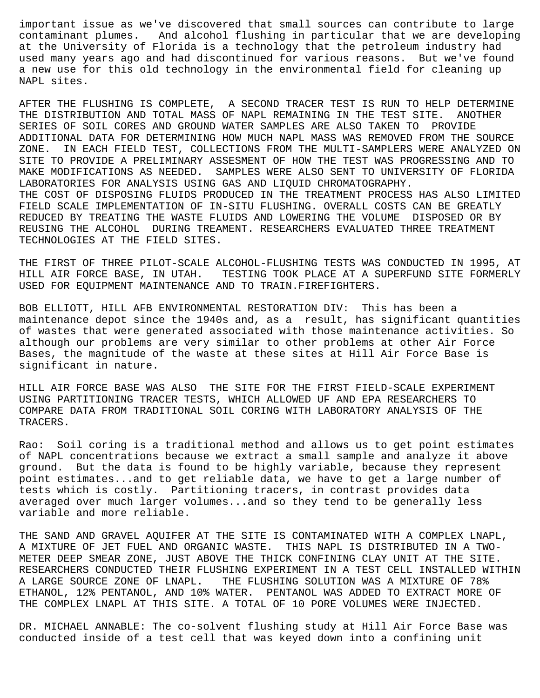important issue as we've discovered that small sources can contribute to large contaminant plumes. And alcohol flushing in particular that we are developing at the University of Florida is a technology that the petroleum industry had used many years ago and had discontinued for various reasons. But we've found a new use for this old technology in the environmental field for cleaning up NAPL sites.

AFTER THE FLUSHING IS COMPLETE, A SECOND TRACER TEST IS RUN TO HELP DETERMINE THE DISTRIBUTION AND TOTAL MASS OF NAPL REMAINING IN THE TEST SITE. ANOTHER SERIES OF SOIL CORES AND GROUND WATER SAMPLES ARE ALSO TAKEN TO PROVIDE ADDITIONAL DATA FOR DETERMINING HOW MUCH NAPL MASS WAS REMOVED FROM THE SOURCE ZONE. IN EACH FIELD TEST, COLLECTIONS FROM THE MULTI-SAMPLERS WERE ANALYZED ON SITE TO PROVIDE A PRELIMINARY ASSESMENT OF HOW THE TEST WAS PROGRESSING AND TO MAKE MODIFICATIONS AS NEEDED. SAMPLES WERE ALSO SENT TO UNIVERSITY OF FLORIDA LABORATORIES FOR ANALYSIS USING GAS AND LIQUID CHROMATOGRAPHY. THE COST OF DISPOSING FLUIDS PRODUCED IN THE TREATMENT PROCESS HAS ALSO LIMITED FIELD SCALE IMPLEMENTATION OF IN-SITU FLUSHING. OVERALL COSTS CAN BE GREATLY REDUCED BY TREATING THE WASTE FLUIDS AND LOWERING THE VOLUME DISPOSED OR BY REUSING THE ALCOHOL DURING TREAMENT. RESEARCHERS EVALUATED THREE TREATMENT TECHNOLOGIES AT THE FIELD SITES.

THE FIRST OF THREE PILOT-SCALE ALCOHOL-FLUSHING TESTS WAS CONDUCTED IN 1995, AT HILL AIR FORCE BASE, IN UTAH. TESTING TOOK PLACE AT A SUPERFUND SITE FORMERLY USED FOR EQUIPMENT MAINTENANCE AND TO TRAIN.FIREFIGHTERS.

BOB ELLIOTT, HILL AFB ENVIRONMENTAL RESTORATION DIV: This has been a maintenance depot since the 1940s and, as a result, has significant quantities of wastes that were generated associated with those maintenance activities. So although our problems are very similar to other problems at other Air Force Bases, the magnitude of the waste at these sites at Hill Air Force Base is significant in nature.

HILL AIR FORCE BASE WAS ALSO THE SITE FOR THE FIRST FIELD-SCALE EXPERIMENT USING PARTITIONING TRACER TESTS, WHICH ALLOWED UF AND EPA RESEARCHERS TO COMPARE DATA FROM TRADITIONAL SOIL CORING WITH LABORATORY ANALYSIS OF THE TRACERS.

Rao: Soil coring is a traditional method and allows us to get point estimates of NAPL concentrations because we extract a small sample and analyze it above ground. But the data is found to be highly variable, because they represent point estimates...and to get reliable data, we have to get a large number of tests which is costly. Partitioning tracers, in contrast provides data averaged over much larger volumes...and so they tend to be generally less variable and more reliable.

THE SAND AND GRAVEL AQUIFER AT THE SITE IS CONTAMINATED WITH A COMPLEX LNAPL, A MIXTURE OF JET FUEL AND ORGANIC WASTE. THIS NAPL IS DISTRIBUTED IN A TWO-METER DEEP SMEAR ZONE, JUST ABOVE THE THICK CONFINING CLAY UNIT AT THE SITE. RESEARCHERS CONDUCTED THEIR FLUSHING EXPERIMENT IN A TEST CELL INSTALLED WITHIN A LARGE SOURCE ZONE OF LNAPL. THE FLUSHING SOLUTION WAS A MIXTURE OF 78% ETHANOL, 12% PENTANOL, AND 10% WATER. PENTANOL WAS ADDED TO EXTRACT MORE OF THE COMPLEX LNAPL AT THIS SITE. A TOTAL OF 10 PORE VOLUMES WERE INJECTED.

DR. MICHAEL ANNABLE: The co-solvent flushing study at Hill Air Force Base was conducted inside of a test cell that was keyed down into a confining unit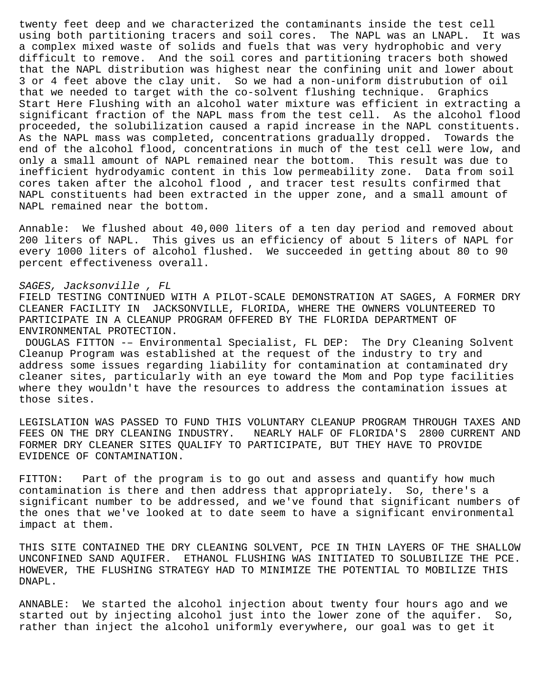twenty feet deep and we characterized the contaminants inside the test cell using both partitioning tracers and soil cores. The NAPL was an LNAPL. It was a complex mixed waste of solids and fuels that was very hydrophobic and very difficult to remove. And the soil cores and partitioning tracers both showed that the NAPL distribution was highest near the confining unit and lower about 3 or 4 feet above the clay unit. So we had a non-uniform distrubution of oil that we needed to target with the co-solvent flushing technique. Graphics Start Here Flushing with an alcohol water mixture was efficient in extracting a significant fraction of the NAPL mass from the test cell. As the alcohol flood proceeded, the solubilization caused a rapid increase in the NAPL constituents. As the NAPL mass was completed, concentrations gradually dropped. Towards the end of the alcohol flood, concentrations in much of the test cell were low, and only a small amount of NAPL remained near the bottom. This result was due to inefficient hydrodyamic content in this low permeability zone. Data from soil cores taken after the alcohol flood , and tracer test results confirmed that NAPL constituents had been extracted in the upper zone, and a small amount of NAPL remained near the bottom.

Annable: We flushed about 40,000 liters of a ten day period and removed about 200 liters of NAPL. This gives us an efficiency of about 5 liters of NAPL for every 1000 liters of alcohol flushed. We succeeded in getting about 80 to 90 percent effectiveness overall.

## SAGES, Jacksonville , FL

FIELD TESTING CONTINUED WITH A PILOT-SCALE DEMONSTRATION AT SAGES, A FORMER DRY CLEANER FACILITY IN JACKSONVILLE, FLORIDA, WHERE THE OWNERS VOLUNTEERED TO PARTICIPATE IN A CLEANUP PROGRAM OFFERED BY THE FLORIDA DEPARTMENT OF ENVIRONMENTAL PROTECTION.

 DOUGLAS FITTON -– Environmental Specialist, FL DEP: The Dry Cleaning Solvent Cleanup Program was established at the request of the industry to try and address some issues regarding liability for contamination at contaminated dry cleaner sites, particularly with an eye toward the Mom and Pop type facilities where they wouldn't have the resources to address the contamination issues at those sites.

LEGISLATION WAS PASSED TO FUND THIS VOLUNTARY CLEANUP PROGRAM THROUGH TAXES AND FEES ON THE DRY CLEANING INDUSTRY. NEARLY HALF OF FLORIDA'S 2800 CURRENT AND FORMER DRY CLEANER SITES QUALIFY TO PARTICIPATE, BUT THEY HAVE TO PROVIDE EVIDENCE OF CONTAMINATION.

FITTON: Part of the program is to go out and assess and quantify how much contamination is there and then address that appropriately. So, there's a significant number to be addressed, and we've found that significant numbers of the ones that we've looked at to date seem to have a significant environmental impact at them.

THIS SITE CONTAINED THE DRY CLEANING SOLVENT, PCE IN THIN LAYERS OF THE SHALLOW UNCONFINED SAND AQUIFER. ETHANOL FLUSHING WAS INITIATED TO SOLUBILIZE THE PCE. HOWEVER, THE FLUSHING STRATEGY HAD TO MINIMIZE THE POTENTIAL TO MOBILIZE THIS DNAPL.

ANNABLE: We started the alcohol injection about twenty four hours ago and we started out by injecting alcohol just into the lower zone of the aquifer. So, rather than inject the alcohol uniformly everywhere, our goal was to get it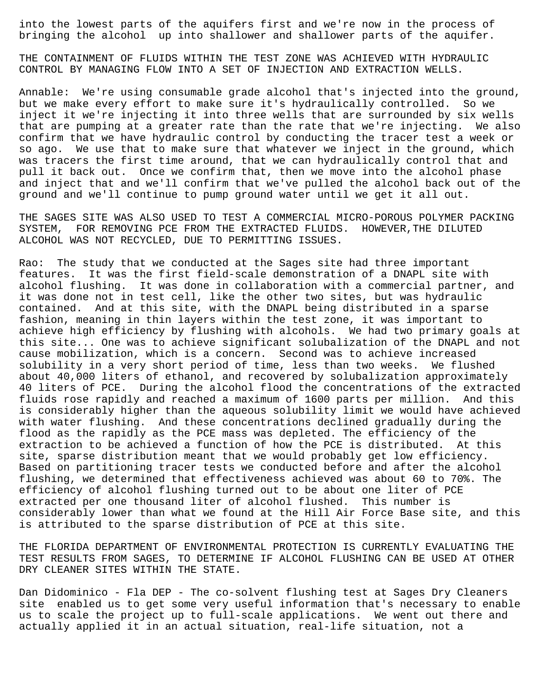into the lowest parts of the aquifers first and we're now in the process of bringing the alcohol up into shallower and shallower parts of the aquifer.

THE CONTAINMENT OF FLUIDS WITHIN THE TEST ZONE WAS ACHIEVED WITH HYDRAULIC CONTROL BY MANAGING FLOW INTO A SET OF INJECTION AND EXTRACTION WELLS.

Annable: We're using consumable grade alcohol that's injected into the ground, but we make every effort to make sure it's hydraulically controlled. So we inject it we're injecting it into three wells that are surrounded by six wells that are pumping at a greater rate than the rate that we're injecting. We also confirm that we have hydraulic control by conducting the tracer test a week or so ago. We use that to make sure that whatever we inject in the ground, which was tracers the first time around, that we can hydraulically control that and pull it back out. Once we confirm that, then we move into the alcohol phase and inject that and we'll confirm that we've pulled the alcohol back out of the ground and we'll continue to pump ground water until we get it all out.

THE SAGES SITE WAS ALSO USED TO TEST A COMMERCIAL MICRO-POROUS POLYMER PACKING SYSTEM, FOR REMOVING PCE FROM THE EXTRACTED FLUIDS. HOWEVER,THE DILUTED ALCOHOL WAS NOT RECYCLED, DUE TO PERMITTING ISSUES.

Rao: The study that we conducted at the Sages site had three important features. It was the first field-scale demonstration of a DNAPL site with alcohol flushing. It was done in collaboration with a commercial partner, and it was done not in test cell, like the other two sites, but was hydraulic contained. And at this site, with the DNAPL being distributed in a sparse fashion, meaning in thin layers within the test zone, it was important to achieve high efficiency by flushing with alcohols. We had two primary goals at this site... One was to achieve significant solubalization of the DNAPL and not cause mobilization, which is a concern. Second was to achieve increased solubility in a very short period of time, less than two weeks. We flushed about 40,000 liters of ethanol, and recovered by solubalization approximately 40 liters of PCE. During the alcohol flood the concentrations of the extracted fluids rose rapidly and reached a maximum of 1600 parts per million. And this is considerably higher than the aqueous solubility limit we would have achieved with water flushing. And these concentrations declined gradually during the flood as the rapidly as the PCE mass was depleted. The efficiency of the extraction to be achieved a function of how the PCE is distributed. At this site, sparse distribution meant that we would probably get low efficiency. Based on partitioning tracer tests we conducted before and after the alcohol flushing, we determined that effectiveness achieved was about 60 to 70%. The efficiency of alcohol flushing turned out to be about one liter of PCE extracted per one thousand liter of alcohol flushed. This number is considerably lower than what we found at the Hill Air Force Base site, and this is attributed to the sparse distribution of PCE at this site.

THE FLORIDA DEPARTMENT OF ENVIRONMENTAL PROTECTION IS CURRENTLY EVALUATING THE TEST RESULTS FROM SAGES, TO DETERMINE IF ALCOHOL FLUSHING CAN BE USED AT OTHER DRY CLEANER SITES WITHIN THE STATE.

Dan Didominico - Fla DEP - The co-solvent flushing test at Sages Dry Cleaners site enabled us to get some very useful information that's necessary to enable us to scale the project up to full-scale applications. We went out there and actually applied it in an actual situation, real-life situation, not a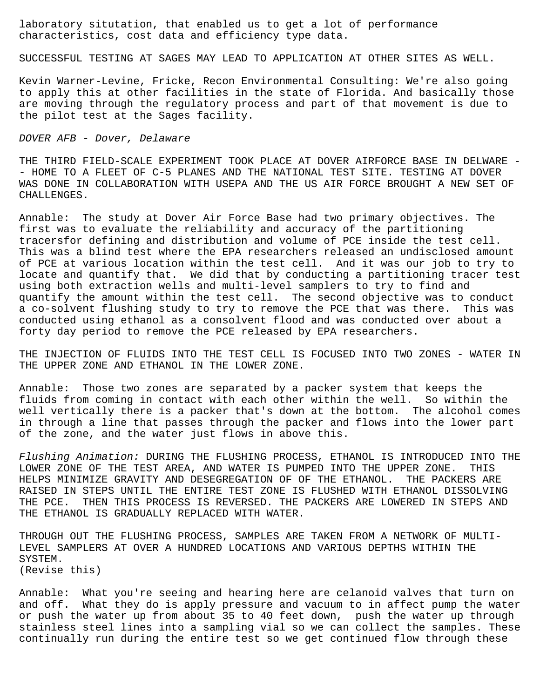laboratory situtation, that enabled us to get a lot of performance characteristics, cost data and efficiency type data.

SUCCESSFUL TESTING AT SAGES MAY LEAD TO APPLICATION AT OTHER SITES AS WELL.

Kevin Warner-Levine, Fricke, Recon Environmental Consulting: We're also going to apply this at other facilities in the state of Florida. And basically those are moving through the regulatory process and part of that movement is due to the pilot test at the Sages facility.

## DOVER AFB - Dover, Delaware

THE THIRD FIELD-SCALE EXPERIMENT TOOK PLACE AT DOVER AIRFORCE BASE IN DELWARE - - HOME TO A FLEET OF C-5 PLANES AND THE NATIONAL TEST SITE. TESTING AT DOVER WAS DONE IN COLLABORATION WITH USEPA AND THE US AIR FORCE BROUGHT A NEW SET OF CHALLENGES.

Annable: The study at Dover Air Force Base had two primary objectives. The first was to evaluate the reliability and accuracy of the partitioning tracersfor defining and distribution and volume of PCE inside the test cell. This was a blind test where the EPA researchers released an undisclosed amount of PCE at various location within the test cell. And it was our job to try to locate and quantify that. We did that by conducting a partitioning tracer test using both extraction wells and multi-level samplers to try to find and quantify the amount within the test cell. The second objective was to conduct a co-solvent flushing study to try to remove the PCE that was there. This was conducted using ethanol as a consolvent flood and was conducted over about a forty day period to remove the PCE released by EPA researchers.

THE INJECTION OF FLUIDS INTO THE TEST CELL IS FOCUSED INTO TWO ZONES - WATER IN THE UPPER ZONE AND ETHANOL IN THE LOWER ZONE.

Annable: Those two zones are separated by a packer system that keeps the fluids from coming in contact with each other within the well. So within the well vertically there is a packer that's down at the bottom. The alcohol comes in through a line that passes through the packer and flows into the lower part of the zone, and the water just flows in above this.

Flushing Animation: DURING THE FLUSHING PROCESS, ETHANOL IS INTRODUCED INTO THE LOWER ZONE OF THE TEST AREA, AND WATER IS PUMPED INTO THE UPPER ZONE. THIS HELPS MINIMIZE GRAVITY AND DESEGREGATION OF OF THE ETHANOL. THE PACKERS ARE RAISED IN STEPS UNTIL THE ENTIRE TEST ZONE IS FLUSHED WITH ETHANOL DISSOLVING THE PCE. THEN THIS PROCESS IS REVERSED. THE PACKERS ARE LOWERED IN STEPS AND THE ETHANOL IS GRADUALLY REPLACED WITH WATER.

THROUGH OUT THE FLUSHING PROCESS, SAMPLES ARE TAKEN FROM A NETWORK OF MULTI-LEVEL SAMPLERS AT OVER A HUNDRED LOCATIONS AND VARIOUS DEPTHS WITHIN THE SYSTEM. (Revise this)

Annable: What you're seeing and hearing here are celanoid valves that turn on and off. What they do is apply pressure and vacuum to in affect pump the water or push the water up from about 35 to 40 feet down, push the water up through stainless steel lines into a sampling vial so we can collect the samples. These continually run during the entire test so we get continued flow through these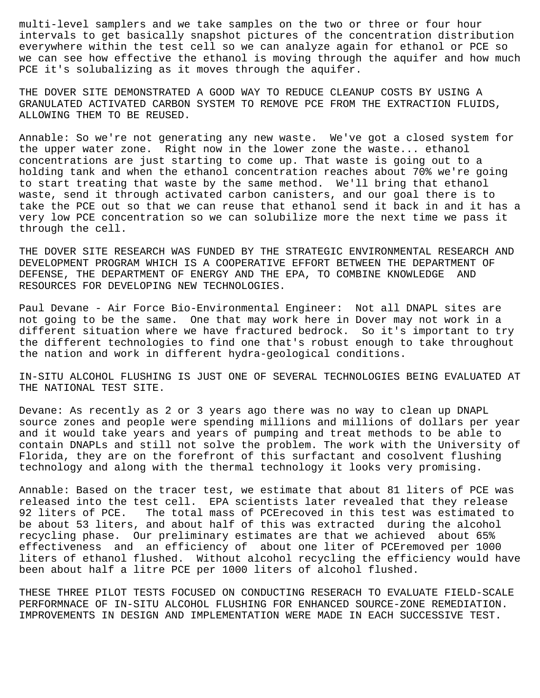multi-level samplers and we take samples on the two or three or four hour intervals to get basically snapshot pictures of the concentration distribution everywhere within the test cell so we can analyze again for ethanol or PCE so we can see how effective the ethanol is moving through the aquifer and how much PCE it's solubalizing as it moves through the aquifer.

THE DOVER SITE DEMONSTRATED A GOOD WAY TO REDUCE CLEANUP COSTS BY USING A GRANULATED ACTIVATED CARBON SYSTEM TO REMOVE PCE FROM THE EXTRACTION FLUIDS, ALLOWING THEM TO BE REUSED.

Annable: So we're not generating any new waste. We've got a closed system for the upper water zone. Right now in the lower zone the waste... ethanol concentrations are just starting to come up. That waste is going out to a holding tank and when the ethanol concentration reaches about 70% we're going to start treating that waste by the same method. We'll bring that ethanol waste, send it through activated carbon canisters, and our goal there is to take the PCE out so that we can reuse that ethanol send it back in and it has a very low PCE concentration so we can solubilize more the next time we pass it through the cell.

THE DOVER SITE RESEARCH WAS FUNDED BY THE STRATEGIC ENVIRONMENTAL RESEARCH AND DEVELOPMENT PROGRAM WHICH IS A COOPERATIVE EFFORT BETWEEN THE DEPARTMENT OF DEFENSE, THE DEPARTMENT OF ENERGY AND THE EPA, TO COMBINE KNOWLEDGE AND RESOURCES FOR DEVELOPING NEW TECHNOLOGIES.

Paul Devane - Air Force Bio-Environmental Engineer: Not all DNAPL sites are not going to be the same. One that may work here in Dover may not work in a different situation where we have fractured bedrock. So it's important to try the different technologies to find one that's robust enough to take throughout the nation and work in different hydra-geological conditions.

IN-SITU ALCOHOL FLUSHING IS JUST ONE OF SEVERAL TECHNOLOGIES BEING EVALUATED AT THE NATIONAL TEST SITE.

Devane: As recently as 2 or 3 years ago there was no way to clean up DNAPL source zones and people were spending millions and millions of dollars per year and it would take years and years of pumping and treat methods to be able to contain DNAPLs and still not solve the problem. The work with the University of Florida, they are on the forefront of this surfactant and cosolvent flushing technology and along with the thermal technology it looks very promising.

Annable: Based on the tracer test, we estimate that about 81 liters of PCE was released into the test cell. EPA scientists later revealed that they release 92 liters of PCE. The total mass of PCErecoved in this test was estimated to be about 53 liters, and about half of this was extracted during the alcohol recycling phase. Our preliminary estimates are that we achieved about 65% effectiveness and an efficiency of about one liter of PCEremoved per 1000 liters of ethanol flushed. Without alcohol recycling the efficiency would have been about half a litre PCE per 1000 liters of alcohol flushed.

THESE THREE PILOT TESTS FOCUSED ON CONDUCTING RESERACH TO EVALUATE FIELD-SCALE PERFORMNACE OF IN-SITU ALCOHOL FLUSHING FOR ENHANCED SOURCE-ZONE REMEDIATION. IMPROVEMENTS IN DESIGN AND IMPLEMENTATION WERE MADE IN EACH SUCCESSIVE TEST.